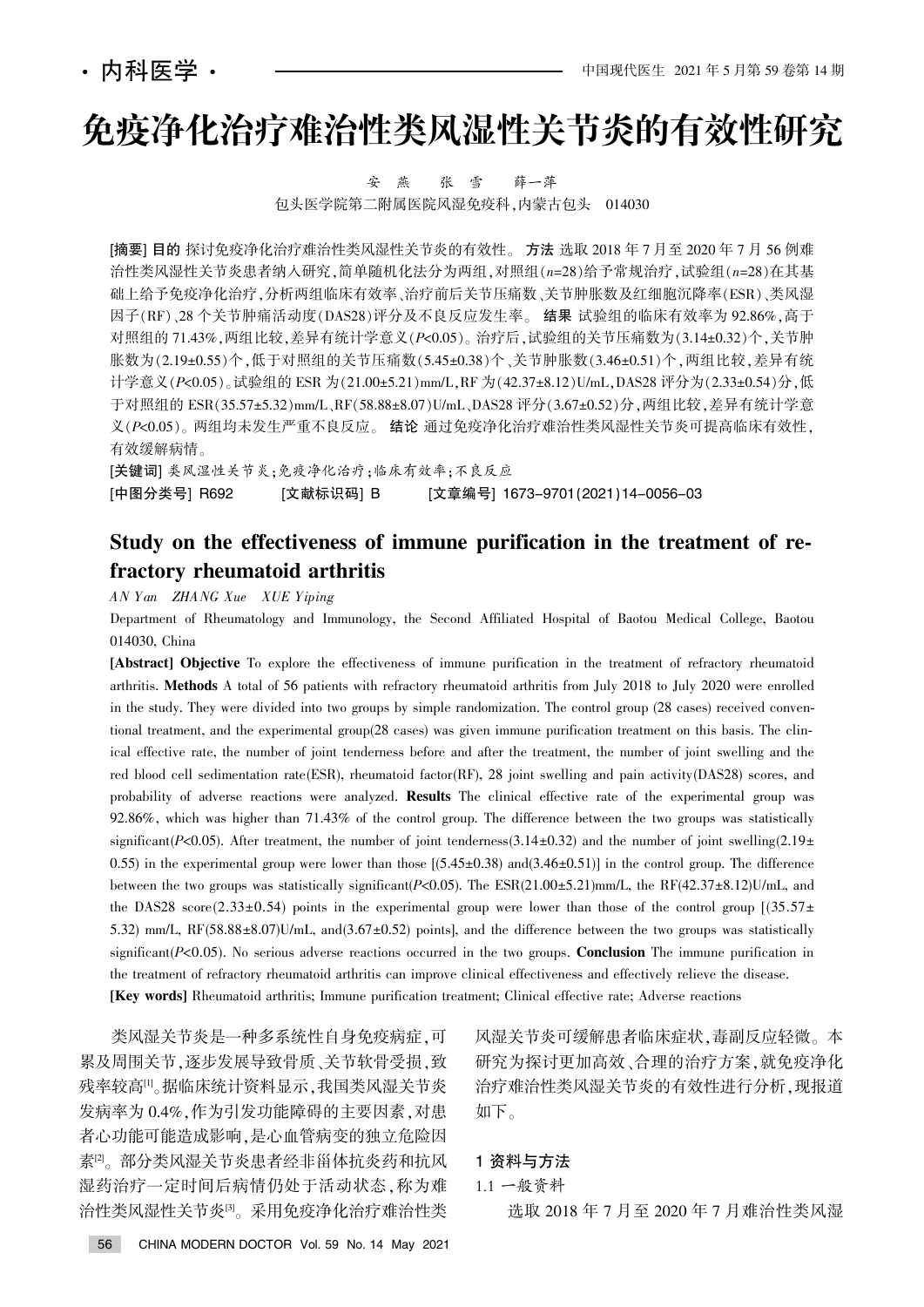# 免疫净化治疗难治性类风湿性关节炎的有效性研究

安 燕 张 雪 薛一萍 包头医学院第二附属医院风湿免疫科, 内蒙古包头 014030

[摘要] 目的 探讨免疫净化治疗难治性类风湿性关节炎的有效性。 方法 选取 2018 年 7 月 至 2020 年 7 月 56 例难 治性类风湿性关节炎患者纳入研究,简单随机化法分为两组,对照组(n=28)给予常规治疗,试验组(n=28)在其基 础上给予免疫净化治疗,分析两组临床有效率、治疗前后关节压痛数、关节肿胀数及红细胞沉降率(ESR)、类风湿 因子(RF)、28 个关节肿痛活动度(DAS28)评分及不良反应发生率。 结果 试验组的临床有效率为 92.86%, 高于 对照组的 71.43%, 两组比较, 差异有统计学意义(P<0.05)。治疗后, 试验组的关节压痛数为(3.14±0.32)个, 关节肿 胀数为(2.19±0.55)个,低于对照组的关节压痛数(5.45±0.38)个、关节肿胀数(3.46±0.51)个,两组比较,差异有统 计学意义(P<0.05)。试验组的 ESR 为(21.00±5.21)mm/L,RF 为(42.37±8.12)U/mL,DAS28 评分为(2.33±0.54)分,低 于对照组的 ESR(35.57±5.32)mm/L、RF(58.88±8.07)U/mL、DAS28 评分(3.67±0.52)分, 两组比较, 差异有统计学意 义(P<0.05)。两组均未发生严重不良反应。 结论 通过免疫净化治疗难治性类风湿性关节炎可提高临床有效性, 有效缓解病情。

[关键词] 类风湿性关节炎:免疫净化治疗:临床有效率:不良反应 [中图分类号] R692 [文献标识码] B [文章编号] 1673-9701(2021)14-0056-03

## Study on the effectiveness of immune purification in the treatment of refractory rheumatoid arthritis

AN Y an ZHANG Xue XUE Yiping

Department of Rheumatology and Immunology, the Second Affiliated Hospital of Baotou Medical College, Baotou 014030, China

[Abstract] Objective To explore the effectiveness of immune purification in the treatment of refractory rheumatoid arthritis. Methods A total of 56 patients with refractory rheumatoid arthritis from July 2018 to July 2020 were enrolled in the study. They were divided into two groups by simple randomization. The control group (28 cases) received conventional treatment, and the experimental group(28 cases) was given immune purification treatment on this basis. The clinical effective rate, the number of joint tenderness before and after the treatment, the number of joint swelling and the red blood cell sedimentation rate(ESR), rheumatoid factor(RF), 28 joint swelling and pain activity(DAS28) scores, and probability of adverse reactions were analyzed. Results The clinical effective rate of the experimental group was 92.86%, which was higher than 71.43% of the control group. The difference between the two groups was statistically significant(P<0.05). After treatment, the number of joint tenderness(3.14±0.32) and the number of joint swelling(2.19± 0.55) in the experimental group were lower than those  $[(5.45\pm0.38)$  and $(3.46\pm0.51)]$  in the control group. The difference between the two groups was statistically significant( $P<0.05$ ). The ESR(21.00 $\pm$ 5.21)mm/L, the RF(42.37 $\pm$ 8.12)U/mL, and the DAS28 score(2.33±0.54) points in the experimental group were lower than those of the control group  $[(35.57 \pm$ 5.32) mm/L,  $RF(58.88±8.07)U/mL$ , and(3.67±0.52) points], and the difference between the two groups was statistically significant( $P<0.05$ ). No serious adverse reactions occurred in the two groups. **Conclusion** The immune purification in the treatment of refractory rheumatoid arthritis can improve clinical effectiveness and effectively relieve the disease. [Key words] Rheumatoid arthritis; Immune purification treatment; Clinical effective rate; Adverse reactions

类风湿关节炎是一种多系统性自身免疫病症,可 累及周围关节,逐步发展导致骨质、关节软骨受损,致 残率较高<sup>[1]</sup>。据临床统计资料显示,我国类风湿关节炎 发病率为 0.4%,作为引发功能障碍的主要因素,对患 者心功能可能造成影响,是心血管病变的独立危险因 素<sup>[2]</sup>。部分类风湿关节炎患者经非甾体抗炎药和抗风 湿药治疗一定时间后病情仍处于活动状态, 称为难 治性类风湿性关节炎<sup>[9</sup>。采用免疫净化治疗难治性类

风湿关节炎可缓解患者临床症状,毒副反应轻微。本 研究为探讨更加高效、合理的治疗方案,就免疫净化 治疗难治性类风湿关节炎的有效性进行分析,现报道 如下。

### 1 资料与方法

1.1 一般资料

选取 2018 年 7 月至 2020 年 7 月难治性类风湿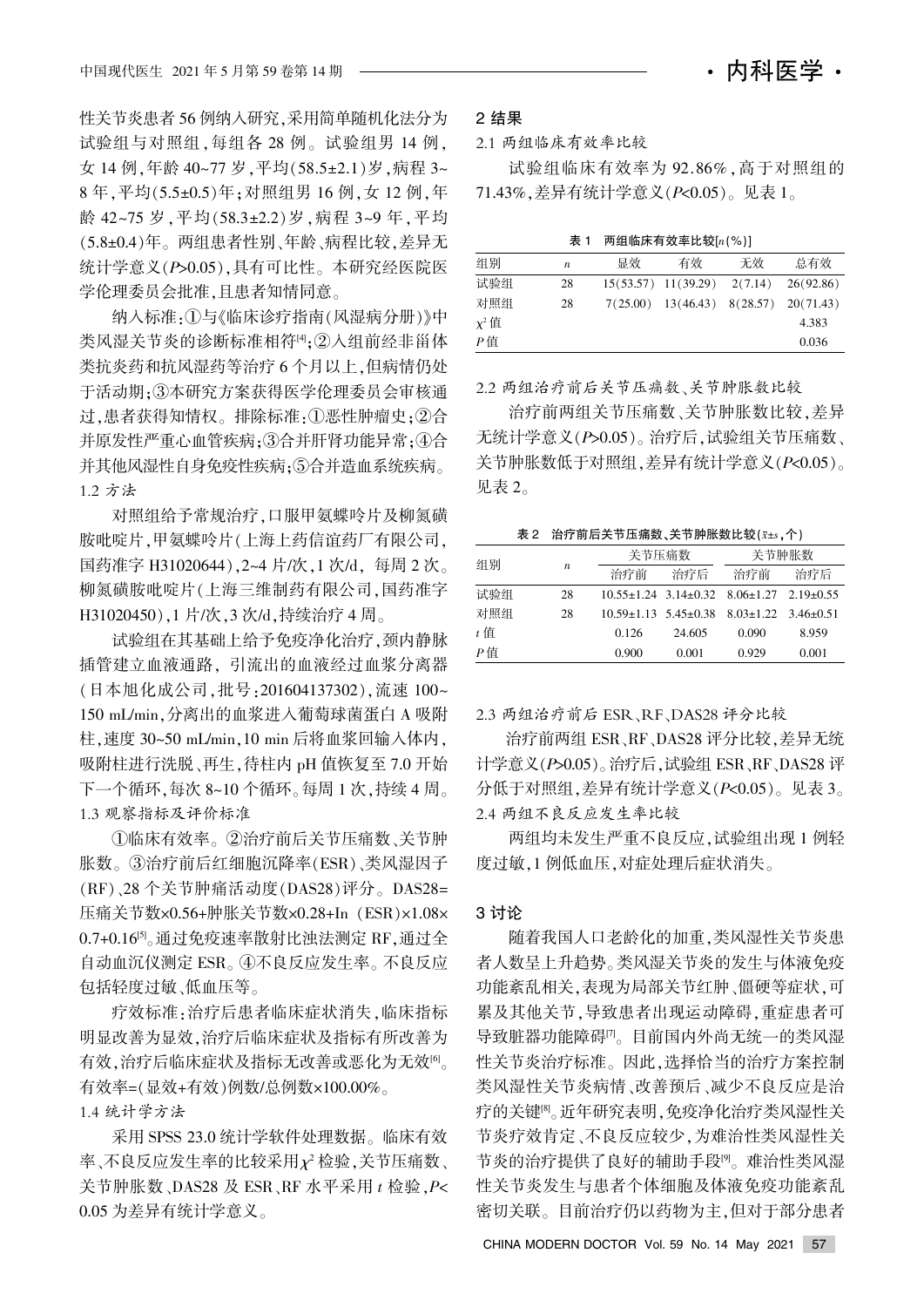性关节炎患者 56 例纳入研究,采用简单随机化法分为 试验组与对照组,每组各 28 例。试验组男 14 例, 女 14 例,年龄 40~77 岁,平均(58.5±2.1)岁,病程 3~ 8年, 平均(5.5±0.5)年; 对照组男 16 例, 女 12 例, 年 龄 42~75 岁, 平均(58.3±2.2) 岁, 病程 3~9年, 平均 (5.8±0.4)年。两组患者性别、年龄、病程比较,差异无 统计学意义(P>0.05),具有可比性。本研究经医院医 学伦理委员会批准,且患者知情同意。

纳入标准:1与《临床诊疗指南(风湿病分册)》中 类风湿关节炎的诊断标准相符[4];②入组前经非甾体 类抗炎药和抗风湿药等治疗 6个月以上,但病情仍处 于活动期:3本研究方案获得医学伦理委员会审核通 过,患者获得知情权。排除标准:①恶性肿瘤史:②合 并原发性严重心血管疾病: ③合并肝肾功能异常: 4)合 并其他风湿性自身免疫性疾病;5合并造血系统疾病。 1.2 方法

对照组给予常规治疗,口服甲氨蝶呤片及柳氮磺 胺吡啶片,甲氨蝶呤片(上海上药信谊药厂有限公司, 国药准字 H31020644), 2~4 片/次, 1 次/d, 每周 2 次。 柳氮磺胺吡啶片(上海三维制药有限公司,国药准字 H31020450),1 片/次,3 次/d,持续治疗 4 周。

试验组在其基础上给予免疫净化治疗,颈内静脉 插管建立血液通路。引流出的血液经过血浆分离器 (日本旭化成公司,批号:201604137302),流速 100~ 150 mL/min,分离出的血浆进入葡萄球菌蛋白 A 吸附 柱.速度 30~50 mL/min.10 min 后将血浆回输入体内, 吸附柱进行洗脱、再生, 待柱内 pH 值恢复至 7.0 开始 下一个循环,每次 8~10 个循环。每周 1 次,持续 4 周。 1.3 观察指标及评价标准

①临床有效率。②治疗前后关节压痛数、关节肿 胀数。③治疗前后红细胞沉降率(ESR)、类风湿因子 (RF)、28 个关节肿痛活动度(DAS28)评分。DAS28= 压痛关节数×0.56+肿胀关节数×0.28+In (ESR)×1.08× 0.7+0.16<sup>[5]</sup>。通过免疫速率散射比浊法测定 RF, 通过全 自动血沉仪测定 ESR。4不良反应发生率。不良反应 包括轻度过敏、低血压等。

疗效标准:治疗后患者临床症状消失,临床指标 明显改善为显效,治疗后临床症状及指标有所改善为 有效,治疗后临床症状及指标无改善或恶化为无效[6]。 有效率= $(\overline{R}x + \overline{q}x)$ 例数/总例数×100.00%。 1.4 统计学方法

采用 SPSS 23.0 统计学软件处理数据。临床有效 率、不良反应发生率的比较采用  $\chi^2$  检验, 关节压痛数、 关节肿胀数、DAS28 及 ESR、RF 水平采用  $t$  检验,  $P$ < 0.05 为差异有统计学意义。

#### 2 结果

2.1 两组临床有效率比较

试验组临床有效率为 92.86%, 高于对照组的 71.43%, 差异有统计学意义 $(P< 0.05)$ 。见表 1。

表 1 两组临床有效率比较 $[n(%)]$ 

| 组别         | $\boldsymbol{n}$ | 显效 | 有效                                            | 无效 | 总有效       |  |  |  |
|------------|------------------|----|-----------------------------------------------|----|-----------|--|--|--|
| 试验组        | 28               |    | $15(53.57)$ $11(39.29)$ $2(7.14)$             |    | 26(92.86) |  |  |  |
| 对照组        | 28               |    | $7(25.00)$ $13(46.43)$ $8(28.57)$ $20(71.43)$ |    |           |  |  |  |
| $\chi^2$ 值 |                  |    |                                               |    | 4.383     |  |  |  |
| P值         |                  |    |                                               |    | 0.036     |  |  |  |

2.2 两组治疗前后关节压痛数尧关节肿胀数比较

治疗前两组关节压痛数、关节肿胀数比较,差异 无统计学意义(P>0.05)。治疗后,试验组关节压痛数、 关节肿胀数低于对照组, 差异有统计学意义(P<0.05)。 见表 2。

表 2 治疗前后关节压痛数、关节肿胀数比较 $(x \pm s, \uparrow)$ 

| 组别    | $\boldsymbol{n}$ | 关节压痛数                            |        | 关节肿胀数                                                            |       |  |
|-------|------------------|----------------------------------|--------|------------------------------------------------------------------|-------|--|
|       |                  | 治疗前                              | 治疗后    | 治疗前                                                              | 治疗后   |  |
| 试验组   | 28               |                                  |        | $10.55 \pm 1.24$ 3.14 $\pm$ 0.32 8.06 $\pm$ 1.27 2.19 $\pm$ 0.55 |       |  |
| 对照组   | 28               | $10.59 \pm 1.13$ $5.45 \pm 0.38$ |        | $8.03 \pm 1.22$ $3.46 \pm 0.51$                                  |       |  |
| $t$ 值 |                  | 0.126                            | 24.605 | 0.090                                                            | 8.959 |  |
| $P$ 值 |                  | 0.900                            | 0.001  | 0.929                                                            | 0.001 |  |

2.3 两组治疗前后 ESR、RF、DAS28 评分比较

治疗前两组 ESR、RF、DAS28 评分比较, 差异无统 计学意义(P>0.05)。治疗后,试验组 ESR、RF、DAS28 评 分低于对照组, 差异有统计学意义 $(P< 0.05)$ 。见表 3。 2.4 两组不良反应发生率比较

两组均未发生严重不良反应,试验组出现 1 例轻 度过敏,1 例低血压,对症处理后症状消失。

#### 3 讨论

随着我国人口老龄化的加重,类风湿性关节炎患 者人数呈上升趋势。类风湿关节炎的发生与体液免疫 功能紊乱相关,表现为局部关节红肿、僵硬等症状,可 累及其他关节,导致患者出现运动障碍,重症患者可 导致脏器功能障碍[7]。目前国内外尚无统一的类风湿 性关节炎治疗标准。因此, 选择恰当的治疗方案控制 类风湿性关节炎病情、改善预后、减少不良反应是治 疗的关键<sup>[8]</sup>。近年研究表明,免疫净化治疗类风湿性关 节炎疗效肯定、不良反应较少,为难治性类风湿性关 节炎的治疗提供了良好的辅助手段<sup>[9]</sup>。难治性类风湿 性关节炎发生与患者个体细胞及体液免疫功能紊乱 密切关联。目前治疗仍以药物为主,但对于部分患者

CHINA MODERN DOCTOR Vol. 59 No. 14 May 2021 57